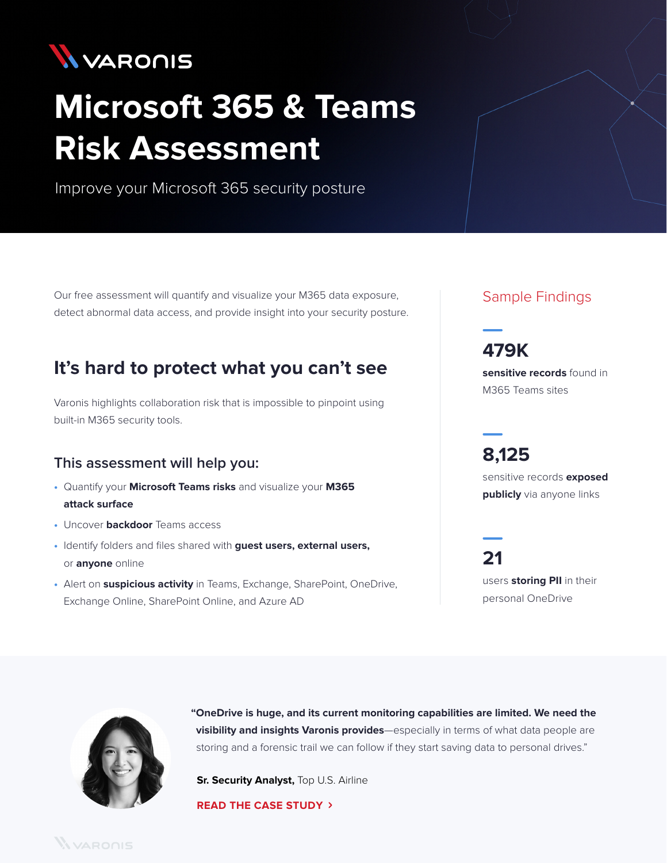

# **Microsoft 365 & Teams Risk Assessment**

Improve your Microsoft 365 security posture

Our free assessment will quantify and visualize your M365 data exposure, detect abnormal data access, and provide insight into your security posture.

## **It's hard to protect what you can't see**

Varonis highlights collaboration risk that is impossible to pinpoint using built-in M365 security tools.

#### **This assessment will help you:**

- **•** Quantify your **Microsoft Teams risks** and visualize your **M365 attack surface**
- **•** Uncover **backdoor** Teams access
- **•** Identify folders and files shared with **guest users, external users,**  or **anyone** online
- **•** Alert on **suspicious activity** in Teams, Exchange, SharePoint, OneDrive, Exchange Online, SharePoint Online, and Azure AD

#### Sample Findings

**sensitive records** found in M365 Teams sites

**8,125**

**479K**

sensitive records **exposed publicly** via anyone links

**21** users **storing PII** in their personal OneDrive



**"OneDrive is huge, and its current monitoring capabilities are limited. We need the visibility and insights Varonis provides**—especially in terms of what data people are storing and a forensic trail we can follow if they start saving data to personal drives."

**Sr. Security Analyst, Top U.S. Airline** 

**[READ THE CASE STUDY](https://info.varonis.com/hubfs/docs/case_studies/en/Varonis_Case_Study-Top-Airline.pdf)**